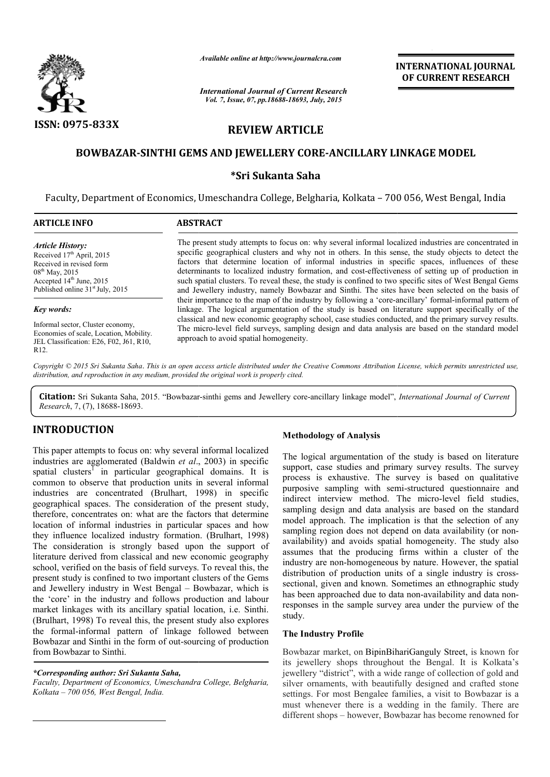

*Available online at http://www.journalcra.com*

*International Journal of Current Research Vol. 7, Issue, 07, pp.18688-18693, July, 2015*

INTERNATIONAL INTERNATIONAL JOURNAL OF CURRENT RESEARCH

# REVIEW ARTICLE

## BOWBAZAR-SINTHI GEMS AND JEWELLERY CORE-ANCILLARY LINKAGE MODEL

## \*Sri Sukanta Saha

Faculty, Department of Economics, Umeschandra College, Belgharia, Kolkata - 700 056, West Bengal, India

| <b>ARTICLE INFO</b>                                                                                                                                                                               | <b>ABSTRACT</b>                                                                                                                                                                                                                                                                                                                                                                                                                                                                                                                                                                                                                                                                                                                                                                                                                                                                                                                                                                                                                                                                                             |
|---------------------------------------------------------------------------------------------------------------------------------------------------------------------------------------------------|-------------------------------------------------------------------------------------------------------------------------------------------------------------------------------------------------------------------------------------------------------------------------------------------------------------------------------------------------------------------------------------------------------------------------------------------------------------------------------------------------------------------------------------------------------------------------------------------------------------------------------------------------------------------------------------------------------------------------------------------------------------------------------------------------------------------------------------------------------------------------------------------------------------------------------------------------------------------------------------------------------------------------------------------------------------------------------------------------------------|
| <b>Article History:</b><br>Received 17 <sup>th</sup> April, 2015<br>Received in revised form<br>$08^{th}$ May, 2015<br>Accepted $14th$ June, 2015<br>Published online 31 <sup>st</sup> July, 2015 | The present study attempts to focus on: why several informal localized industries are concentrated in<br>specific geographical clusters and why not in others. In this sense, the study objects to detect the<br>factors that determine location of informal industries in specific spaces, influences of these<br>determinants to localized industry formation, and cost-effectiveness of setting up of production in<br>such spatial clusters. To reveal these, the study is confined to two specific sites of West Bengal Gems<br>and Jewellery industry, namely Bowbazar and Sinthi. The sites have been selected on the basis of<br>their importance to the map of the industry by following a 'core-ancillary' formal-informal pattern of<br>linkage. The logical argumentation of the study is based on literature support specifically of the<br>classical and new economic geography school, case studies conducted, and the primary survey results.<br>The micro-level field surveys, sampling design and data analysis are based on the standard model<br>approach to avoid spatial homogeneity. |
| Key words:                                                                                                                                                                                        |                                                                                                                                                                                                                                                                                                                                                                                                                                                                                                                                                                                                                                                                                                                                                                                                                                                                                                                                                                                                                                                                                                             |
| Informal sector, Cluster economy,<br>Economies of scale, Location, Mobility.<br>JEL Classification: E26, F02, J61, R10,<br>R <sub>12</sub> .                                                      |                                                                                                                                                                                                                                                                                                                                                                                                                                                                                                                                                                                                                                                                                                                                                                                                                                                                                                                                                                                                                                                                                                             |

Copyright © 2015 Sri Sukanta Saha. This is an open access article distributed under the Creative Commons Attribution License, which permits unrestricted use, *distribution, and reproduction in any medium, provided the original work is properly cited.*

Citation: Sri Sukanta Saha, 2015. "Bowbazar-sinthi gems and Jewellery core-ancillary linkage model", *International Journal of Current Research*, 7, (7), 18688-18693.

## INTRODUCTION

This paper attempts to focus on: why several informal localized industries are agglomerated (Baldwin *et al*., 2003) in specific spatial clusters<sup>1</sup> in particular geographical domains. It is common to observe that production units in several informal industries are concentrated (Brulhart, 1998) in specific geographical spaces. The consideration of the present study, therefore, concentrates on: what are the factors that determine location of informal industries in particular spaces and how they influence localized industry formation. (Brulhart, 1998) The consideration is strongly based upon the support of literature derived from classical and new economic geography school, verified on the basis of field surveys. To reveal this, the present study is confined to two important clusters of the Gems and Jewellery industry in West Bengal – Bowbazar, which is the 'core' in the industry and follows production and labour market linkages with its ancillary spatial location, i.e. Sinthi. (Brulhart, 1998) To reveal this, the present study also explores the formal-informal pattern of linkage followed between Bowbazar and Sinthi in the form of out-sourcing of production from Bowbazar to Sinthi. **Methodology of Analysis**<br>
tempts to focus on: why several informal localized<br>
terms<sup>1</sup> in particular geographical domains. It is<br>
observe that production units in several informal process is exhaustive. The<br>
observe that

*\*Corresponding author: Sri Sukanta Saha,*

 $\overline{a}$ 

*Faculty, Department of Economics, Umeschandra College, Belgharia, Kolkata – 700 056, West Bengal, India.*

The logical argumentation of the study is based on literature support, case studies and primary survey results. The survey process is exhaustive. The survey is based on qualitative purposive sampling with semi-structured questionnaire and indirect interview method. The micro-level field studies, sampling design and data analysis are based on the standard model approach. The implication is that the selection of any sampling region does not depend on data availability (or nonavailability) and avoids spatial homogeneity. The study also assumes that the producing firms within a cluster of the industry are non-homogeneous by nature. However, the spatial assumes that the producing firms within a cluster of the industry are non-homogeneous by nature. However, the spatial distribution of production units of a single industry is crosssectional, given and known. Sometimes an ethnographic study has been approached due to data non-availability and data nonresponses in the sample survey area under the purview of the study. responses in the sample survey area under the purview of the<br>study.<br>The Industry Profile<br>Bowbazar market, on BipinBihariGanguly Street, is known for logical argumentation of the study is based on literature<br>ort, case studies and primary survey results. The survey<br>ses is exhaustive. The survey is based on qualitative<br>osive sampling with semi-structured questionnaire and sampling design and data analysis are based on the standard model approach. The implication is that the selection of any sampling region does not depend on data availability (or non-**INATIONAL JOURNAL**<br> **URRENT RESEARCH**<br> **URRENT RESEARCH**<br> **CE MODEL**<br> **West Bengal, India**<br> **INDITENT RESEARCH**<br> **INDITENT AND** objects to detect the study objects to dect the seed<br>
setting up of production in<br>
c it sites

### The Industry Profile

its jewellery shops throughout the Bengal. It is Kolkata's jewellery "district", with a wide range of collection of gold and silver ornaments, with beautifully designed and crafted stone settings. For most Bengalee families, a visit to Bowbazar is a must whenever there is a wedding in the family. There are different shops – however, Bowbazar has become renowned for ery shops throughout the Bengal. It is Kolkata's "district", with a wide range of collection of gold and aments, with beautifully designed and crafted stone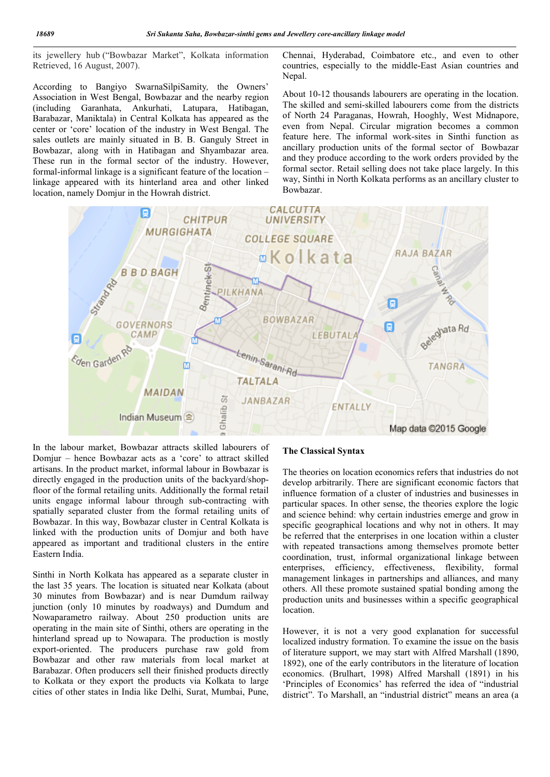its jewellery hub ("Bowbazar Market", Kolkata information Retrieved, 16 August, 2007).

According to Bangiyo SwarnaSilpiSamity*,* the Owners' Association in West Bengal, Bowbazar and the nearby region (including Garanhata, Ankurhati, Latupara, Hatibagan, Barabazar, Maniktala) in Central Kolkata has appeared as the center or 'core' location of the industry in West Bengal. The sales outlets are mainly situated in B. B. Ganguly Street in Bowbazar, along with in Hatibagan and Shyambazar area. These run in the formal sector of the industry. However, formal-informal linkage is a significant feature of the location – linkage appeared with its hinterland area and other linked location, namely Domjur in the Howrah district.

Chennai, Hyderabad, Coimbatore etc., and even to other countries, especially to the middle-East Asian countries and Nepal.

About 10-12 thousands labourers are operating in the location. The skilled and semi-skilled labourers come from the districts of North 24 Paraganas, Howrah, Hooghly, West Midnapore, even from Nepal. Circular migration becomes a common feature here. The informal work-sites in Sinthi function as ancillary production units of the formal sector of Bowbazar and they produce according to the work orders provided by the formal sector. Retail selling does not take place largely. In this way, Sinthi in North Kolkata performs as an ancillary cluster to Bowbazar.



In the labour market, Bowbazar attracts skilled labourers of Domjur – hence Bowbazar acts as a 'core' to attract skilled artisans. In the product market, informal labour in Bowbazar is directly engaged in the production units of the backyard/shopfloor of the formal retailing units. Additionally the formal retail units engage informal labour through sub-contracting with spatially separated cluster from the formal retailing units of Bowbazar. In this way, Bowbazar cluster in Central Kolkata is linked with the production units of Domjur and both have appeared as important and traditional clusters in the entire Eastern India.

Sinthi in North Kolkata has appeared as a separate cluster in the last 35 years. The location is situated near Kolkata (about 30 minutes from Bowbazar) and is near Dumdum railway junction (only 10 minutes by roadways) and Dumdum and Nowaparametro railway. About 250 production units are operating in the main site of Sinthi, others are operating in the hinterland spread up to Nowapara. The production is mostly export-oriented. The producers purchase raw gold from Bowbazar and other raw materials from local market at Barabazar. Often producers sell their finished products directly to Kolkata or they export the products via Kolkata to large cities of other states in India like Delhi, Surat, Mumbai, Pune,

#### The Classical Syntax

The theories on location economics refers that industries do not develop arbitrarily. There are significant economic factors that influence formation of a cluster of industries and businesses in particular spaces. In other sense, the theories explore the logic and science behind: why certain industries emerge and grow in specific geographical locations and why not in others. It may be referred that the enterprises in one location within a cluster with repeated transactions among themselves promote better coordination, trust, informal organizational linkage between enterprises, efficiency, effectiveness, flexibility, formal management linkages in partnerships and alliances, and many others. All these promote sustained spatial bonding among the production units and businesses within a specific geographical location.

However, it is not a very good explanation for successful localized industry formation. To examine the issue on the basis of literature support, we may start with Alfred Marshall (1890, 1892), one of the early contributors in the literature of location economics. (Brulhart, 1998) Alfred Marshall (1891) in his 'Principles of Economics' has referred the idea of "industrial district". To Marshall, an "industrial district" means an area (a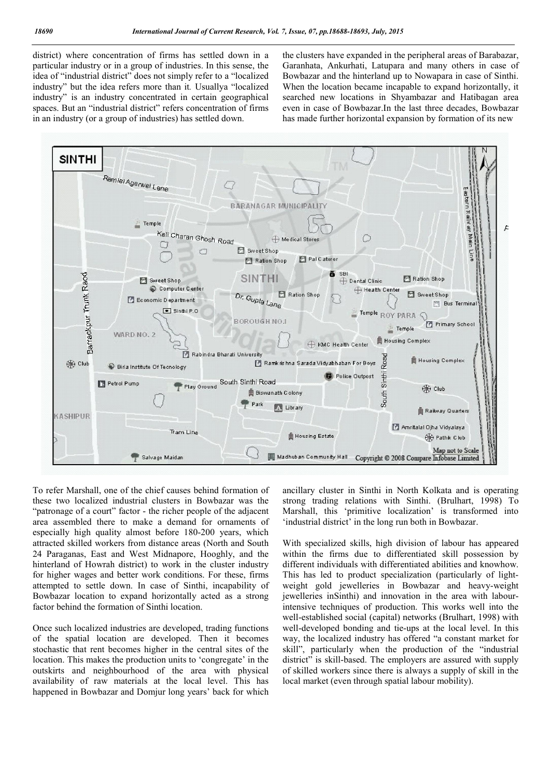district) where concentration of firms has settled down in a particular industry or in a group of industries. In this sense, the idea of "industrial district" does not simply refer to a "localized industry" but the idea refers more than it*.* Usuallya "localized industry" is an industry concentrated in certain geographical spaces. But an "industrial district" refers concentration of firms in an industry (or a group of industries) has settled down.

the clusters have expanded in the peripheral areas of Barabazar, Garanhata, Ankurhati, Latupara and many others in case of Bowbazar and the hinterland up to Nowapara in case of Sinthi. When the location became incapable to expand horizontally, it searched new locations in Shyambazar and Hatibagan area even in case of Bowbazar.In the last three decades, Bowbazar has made further horizontal expansion by formation of its new



To refer Marshall, one of the chief causes behind formation of these two localized industrial clusters in Bowbazar was the "patronage of a court" factor - the richer people of the adjacent area assembled there to make a demand for ornaments of especially high quality almost before 180-200 years, which attracted skilled workers from distance areas (North and South 24 Paraganas, East and West Midnapore, Hooghly, and the hinterland of Howrah district) to work in the cluster industry for higher wages and better work conditions. For these, firms attempted to settle down. In case of Sinthi, incapability of Bowbazar location to expand horizontally acted as a strong factor behind the formation of Sinthi location.

Once such localized industries are developed, trading functions of the spatial location are developed. Then it becomes stochastic that rent becomes higher in the central sites of the location. This makes the production units to 'congregate' in the outskirts and neighbourhood of the area with physical availability of raw materials at the local level. This has happened in Bowbazar and Domjur long years' back for which ancillary cluster in Sinthi in North Kolkata and is operating strong trading relations with Sinthi. (Brulhart, 1998) To Marshall, this 'primitive localization' is transformed into 'industrial district' in the long run both in Bowbazar.

With specialized skills, high division of labour has appeared within the firms due to differentiated skill possession by different individuals with differentiated abilities and knowhow. This has led to product specialization (particularly of lightweight gold jewelleries in Bowbazar and heavy-weight jewelleries inSinthi) and innovation in the area with labourintensive techniques of production. This works well into the well-established social (capital) networks (Brulhart, 1998) with well-developed bonding and tie-ups at the local level. In this way, the localized industry has offered "a constant market for skill", particularly when the production of the "industrial district" is skill-based. The employers are assured with supply of skilled workers since there is always a supply of skill in the local market (even through spatial labour mobility).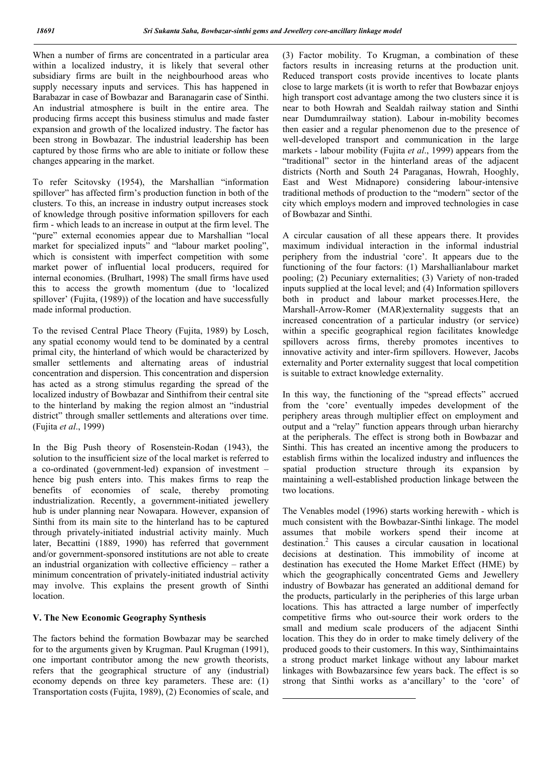When a number of firms are concentrated in a particular area within a localized industry, it is likely that several other subsidiary firms are built in the neighbourhood areas who supply necessary inputs and services. This has happened in Barabazar in case of Bowbazar and Baranagarin case of Sinthi. An industrial atmosphere is built in the entire area. The producing firms accept this business stimulus and made faster expansion and growth of the localized industry. The factor has been strong in Bowbazar. The industrial leadership has been captured by those firms who are able to initiate or follow these changes appearing in the market.

To refer Scitovsky (1954), the Marshallian "information spillover" has affected firm's production function in both of the clusters. To this, an increase in industry output increases stock of knowledge through positive information spillovers for each firm - which leads to an increase in output at the firm level. The "pure" external economies appear due to Marshallian "local market for specialized inputs" and "labour market pooling", which is consistent with imperfect competition with some market power of influential local producers, required for internal economies. (Brulhart, 1998) The small firms have used this to access the growth momentum (due to 'localized spillover' (Fujita, (1989)) of the location and have successfully made informal production.

To the revised Central Place Theory (Fujita, 1989) by Losch, any spatial economy would tend to be dominated by a central primal city, the hinterland of which would be characterized by smaller settlements and alternating areas of industrial concentration and dispersion. This concentration and dispersion has acted as a strong stimulus regarding the spread of the localized industry of Bowbazar and Sinthifrom their central site to the hinterland by making the region almost an "industrial district" through smaller settlements and alterations over time. (Fujita *et al*., 1999)

In the Big Push theory of Rosenstein-Rodan (1943), the solution to the insufficient size of the local market is referred to a co-ordinated (government-led) expansion of investment – hence big push enters into. This makes firms to reap the benefits of economies of scale, thereby promoting industrialization. Recently, a government-initiated jewellery hub is under planning near Nowapara. However, expansion of Sinthi from its main site to the hinterland has to be captured through privately-initiated industrial activity mainly. Much later, Becattini (1889, 1990) has referred that government and/or government-sponsored institutions are not able to create an industrial organization with collective efficiency – rather a minimum concentration of privately-initiated industrial activity may involve. This explains the present growth of Sinthi location.

#### V. The New Economic Geography Synthesis

The factors behind the formation Bowbazar may be searched for to the arguments given by Krugman. Paul Krugman (1991), one important contributor among the new growth theorists, refers that the geographical structure of any (industrial) economy depends on three key parameters. These are: (1) Transportation costs (Fujita, 1989), (2) Economies of scale, and

<u>.</u>

(3) Factor mobility. To Krugman, a combination of these factors results in increasing returns at the production unit. Reduced transport costs provide incentives to locate plants close to large markets (it is worth to refer that Bowbazar enjoys high transport cost advantage among the two clusters since it is near to both Howrah and Sealdah railway station and Sinthi near Dumdumrailway station). Labour in-mobility becomes then easier and a regular phenomenon due to the presence of well-developed transport and communication in the large markets - labour mobility (Fujita *et al*., 1999) appears from the "traditional" sector in the hinterland areas of the adjacent districts (North and South 24 Paraganas, Howrah, Hooghly, East and West Midnapore) considering labour-intensive traditional methods of production to the "modern" sector of the city which employs modern and improved technologies in case of Bowbazar and Sinthi.

A circular causation of all these appears there. It provides maximum individual interaction in the informal industrial periphery from the industrial 'core'. It appears due to the functioning of the four factors: (1) Marshallianlabour market pooling; (2) Pecuniary externalities; (3) Variety of non-traded inputs supplied at the local level; and (4) Information spillovers both in product and labour market processes.Here, the Marshall-Arrow-Romer (MAR)externality suggests that an increased concentration of a particular industry (or service) within a specific geographical region facilitates knowledge spillovers across firms, thereby promotes incentives to innovative activity and inter-firm spillovers. However, Jacobs externality and Porter externality suggest that local competition is suitable to extract knowledge externality.

In this way, the functioning of the "spread effects" accrued from the 'core' eventually impedes development of the periphery areas through multiplier effect on employment and output and a "relay" function appears through urban hierarchy at the peripherals. The effect is strong both in Bowbazar and Sinthi. This has created an incentive among the producers to establish firms within the localized industry and influences the spatial production structure through its expansion by maintaining a well-established production linkage between the two locations.

The Venables model (1996) starts working herewith - which is much consistent with the Bowbazar-Sinthi linkage. The model assumes that mobile workers spend their income at destination.<sup>2</sup> This causes a circular causation in locational decisions at destination. This immobility of income at destination has executed the Home Market Effect (HME) by which the geographically concentrated Gems and Jewellery industry of Bowbazar has generated an additional demand for the products, particularly in the peripheries of this large urban locations. This has attracted a large number of imperfectly competitive firms who out-source their work orders to the small and medium scale producers of the adjacent Sinthi location. This they do in order to make timely delivery of the produced goods to their customers. In this way, Sinthimaintains a strong product market linkage without any labour market linkages with Bowbazarsince few years back. The effect is so strong that Sinthi works as a'ancillary' to the 'core' of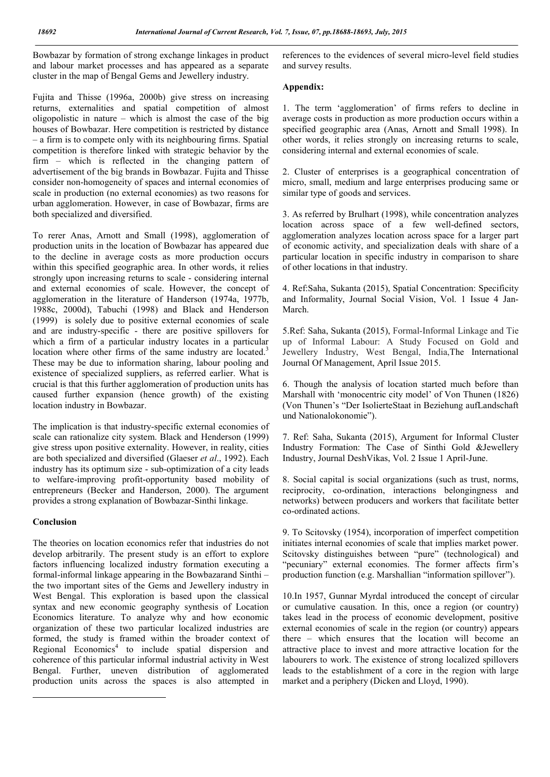Bowbazar by formation of strong exchange linkages in product and labour market processes and has appeared as a separate cluster in the map of Bengal Gems and Jewellery industry.

Fujita and Thisse (1996a, 2000b) give stress on increasing returns, externalities and spatial competition of almost oligopolistic in nature – which is almost the case of the big houses of Bowbazar. Here competition is restricted by distance – a firm is to compete only with its neighbouring firms. Spatial competition is therefore linked with strategic behavior by the firm – which is reflected in the changing pattern of advertisement of the big brands in Bowbazar. Fujita and Thisse consider non-homogeneity of spaces and internal economies of scale in production (no external economies) as two reasons for urban agglomeration. However, in case of Bowbazar, firms are both specialized and diversified.

To rerer Anas, Arnott and Small (1998), agglomeration of production units in the location of Bowbazar has appeared due to the decline in average costs as more production occurs within this specified geographic area. In other words, it relies strongly upon increasing returns to scale - considering internal and external economies of scale. However, the concept of agglomeration in the literature of Handerson (1974a, 1977b, 1988c, 2000d), Tabuchi (1998) and Black and Henderson (1999) is solely due to positive external economies of scale and are industry-specific - there are positive spillovers for which a firm of a particular industry locates in a particular location where other firms of the same industry are located.<sup>3</sup> These may be due to information sharing, labour pooling and existence of specialized suppliers, as referred earlier. What is crucial is that this further agglomeration of production units has caused further expansion (hence growth) of the existing location industry in Bowbazar.

The implication is that industry-specific external economies of scale can rationalize city system. Black and Henderson (1999) give stress upon positive externality. However, in reality, cities are both specialized and diversified (Glaeser *et al*., 1992). Each industry has its optimum size - sub-optimization of a city leads to welfare-improving profit-opportunity based mobility of entrepreneurs (Becker and Handerson, 2000). The argument provides a strong explanation of Bowbazar-Sinthi linkage.

## Conclusion

 $\overline{a}$ 

The theories on location economics refer that industries do not develop arbitrarily. The present study is an effort to explore factors influencing localized industry formation executing a formal-informal linkage appearing in the Bowbazarand Sinthi – the two important sites of the Gems and Jewellery industry in West Bengal. This exploration is based upon the classical syntax and new economic geography synthesis of Location Economics literature. To analyze why and how economic organization of these two particular localized industries are formed, the study is framed within the broader context of Regional Economics<sup>4</sup> to include spatial dispersion and coherence of this particular informal industrial activity in West Bengal. Further, uneven distribution of agglomerated production units across the spaces is also attempted in

references to the evidences of several micro-level field studies and survey results.

## Appendix:

1. The term 'agglomeration' of firms refers to decline in average costs in production as more production occurs within a specified geographic area (Anas, Arnott and Small 1998). In other words, it relies strongly on increasing returns to scale, considering internal and external economies of scale.

2. Cluster of enterprises is a geographical concentration of micro, small, medium and large enterprises producing same or similar type of goods and services.

3. As referred by Brulhart (1998), while concentration analyzes location across space of a few well-defined sectors, agglomeration analyzes location across space for a larger part of economic activity, and specialization deals with share of a particular location in specific industry in comparison to share of other locations in that industry.

4. Ref:Saha, Sukanta (2015), Spatial Concentration: Specificity and Informality, Journal Social Vision, Vol. 1 Issue 4 Jan-March.

5.Ref: Saha, Sukanta (2015), Formal-Informal Linkage and Tie up of Informal Labour: A Study Focused on Gold and Jewellery Industry, West Bengal, India,The International Journal Of Management, April Issue 2015.

6. Though the analysis of location started much before than Marshall with 'monocentric city model' of Von Thunen (1826) (Von Thunen's "Der IsolierteStaat in Beziehung aufLandschaft und Nationalokonomie").

7. Ref: Saha, Sukanta (2015), Argument for Informal Cluster Industry Formation: The Case of Sinthi Gold &Jewellery Industry, Journal DeshVikas, Vol. 2 Issue 1 April-June.

8. Social capital is social organizations (such as trust, norms, reciprocity, co-ordination, interactions belongingness and networks) between producers and workers that facilitate better co-ordinated actions.

9. To Scitovsky (1954), incorporation of imperfect competition initiates internal economies of scale that implies market power. Scitovsky distinguishes between "pure" (technological) and "pecuniary" external economies. The former affects firm's production function (e.g. Marshallian "information spillover").

10.In 1957, Gunnar Myrdal introduced the concept of circular or cumulative causation. In this, once a region (or country) takes lead in the process of economic development, positive external economies of scale in the region (or country) appears there – which ensures that the location will become an attractive place to invest and more attractive location for the labourers to work. The existence of strong localized spillovers leads to the establishment of a core in the region with large market and a periphery (Dicken and Lloyd, 1990).